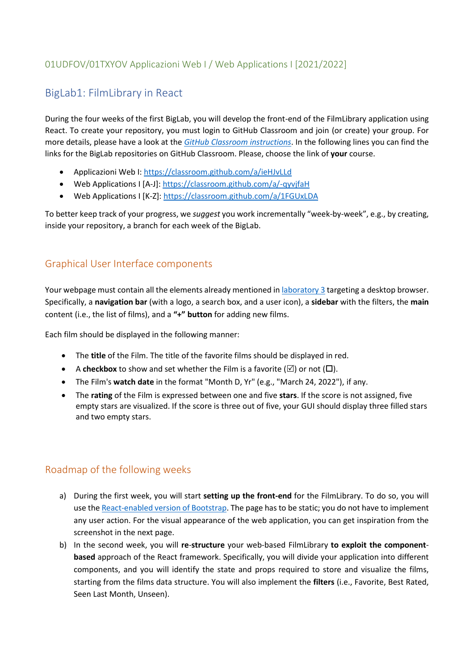## 01UDFOV/01TXYOV Applicazioni Web I / Web Applications I [2021/2022]

# BigLab1: FilmLibrary in React

During the four weeks of the first BigLab, you will develop the front-end of the FilmLibrary application using React. To create your repository, you must login to GitHub Classroom and join (or create) your group. For more details, please have a look at the *[GitHub Classroom instructions](https://polito-wa1-aw1-2022.github.io/materials/labs/GH-Classroom-BigLab-Instructions.pdf)*. In the following lines you can find the links for the BigLab repositories on GitHub Classroom. Please, choose the link of **your** course.

- Applicazioni Web I:<https://classroom.github.com/a/ieHJvLLd>
- Web Applications I [A-J]:<https://classroom.github.com/a/-qyvjfaH>
- Web Applications I [K-Z]:<https://classroom.github.com/a/1FGUxLDA>

To better keep track of your progress, we *suggest* you work incrementally "week-by-week", e.g., by creating, inside your repository, a branch for each week of the BigLab.

### Graphical User Interface components

Your webpage must contain all the elements already mentioned in [laboratory 3](https://polito-wa1-aw1-2022.github.io/materials/labs/lab3-html-css.pdf) targeting a desktop browser. Specifically, a **navigation bar** (with a logo, a search box, and a user icon), a **sidebar** with the filters, the **main** content (i.e., the list of films), and a **"+" button** for adding new films.

Each film should be displayed in the following manner:

- The **title** of the Film. The title of the favorite films should be displayed in red.
- A **checkbox** to show and set whether the Film is a favorite  $(\boxtimes)$  or not  $(\Box)$ .
- The Film's **watch date** in the format "Month D, Yr" (e.g., "March 24, 2022"), if any.
- The **rating** of the Film is expressed between one and five **stars**. If the score is not assigned, five empty stars are visualized. If the score is three out of five, your GUI should display three filled stars and two empty stars.

#### Roadmap of the following weeks

- a) During the first week, you will start **setting up the front-end** for the FilmLibrary. To do so, you will use th[e React-enabled version of Bootstrap.](https://react-bootstrap.github.io/) The page has to be static; you do not have to implement any user action. For the visual appearance of the web application, you can get inspiration from the screenshot in the next page.
- b) In the second week, you will **re**-**structure** your web-based FilmLibrary **to exploit the componentbased** approach of the React framework. Specifically, you will divide your application into different components, and you will identify the state and props required to store and visualize the films, starting from the films data structure. You will also implement the **filters** (i.e., Favorite, Best Rated, Seen Last Month, Unseen).